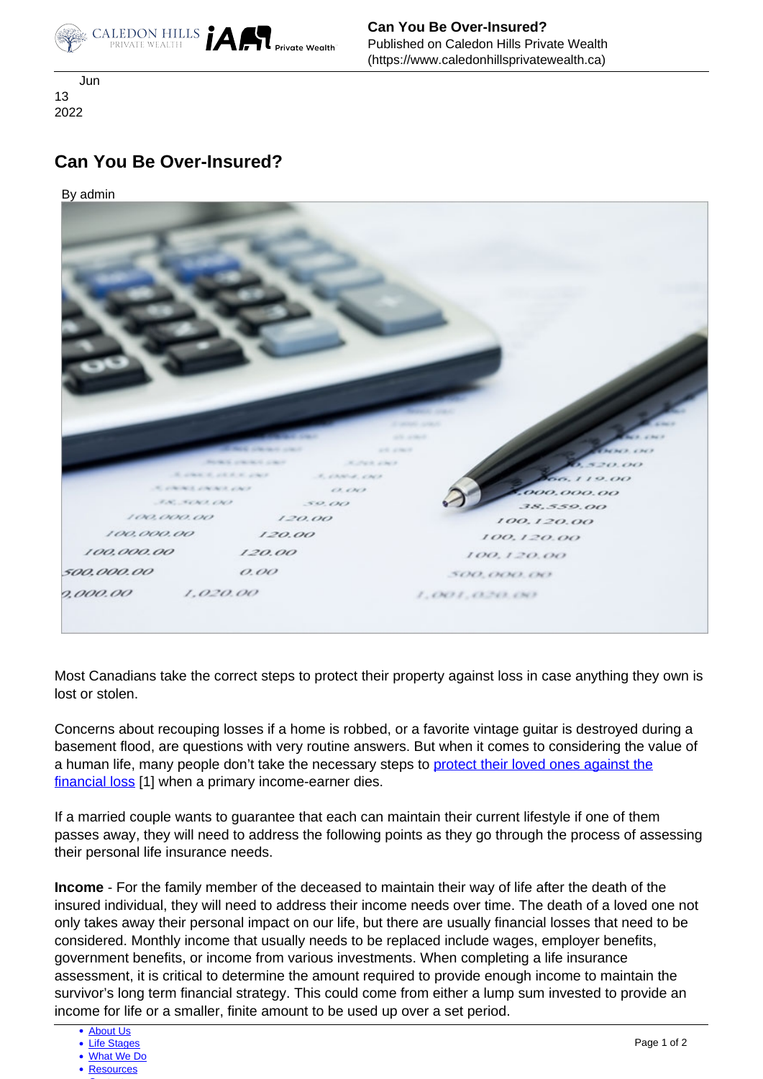

 Jun 13 2022

## **Can You Be Over-Insured?**

By admin



Most Canadians take the correct steps to protect their property against loss in case anything they own is lost or stolen.

Concerns about recouping losses if a home is robbed, or a favorite vintage guitar is destroyed during a basement flood, are questions with very routine answers. But when it comes to considering the value of a human life, many people don't take the necessary steps to [protect their loved ones against the](https://www.caledonhillsprivatewealth.ca/insurance-analysis) [financial loss](https://www.caledonhillsprivatewealth.ca/insurance-analysis) [1] when a primary income-earner dies.

 passes away, they will need to address the following points as they go through the process of assessing If a married couple wants to guarantee that each can maintain their current lifestyle if one of them their personal life insurance needs.

**Income** - For the family member of the deceased to maintain their way of life after the death of the insured individual, they will need to address their income needs over time. The death of a loved one not only takes away their personal impact on our life, but there are usually financial losses that need to be considered. Monthly income that usually needs to be replaced include wages, employer benefits, government benefits, or income from various investments. When completing a life insurance assessment, it is critical to determine the amount required to provide enough income to maintain the survivor's long term financial strategy. This could come from either a lump sum invested to provide an income for life or a smaller, finite amount to be used up over a set period.

<sup>•</sup> [About Us](https://www.caledonhillsprivatewealth.ca/about-us)

<sup>•</sup> [Life Stages](https://www.caledonhillsprivatewealth.ca/life-stages)

[What We Do](https://www.caledonhillsprivatewealth.ca/what-we-do)

[Resources](https://www.caledonhillsprivatewealth.ca/resources)  $\sim$  [Contact](https://www.caledonhillsprivatewealth.ca/contact-us)  $\sim$